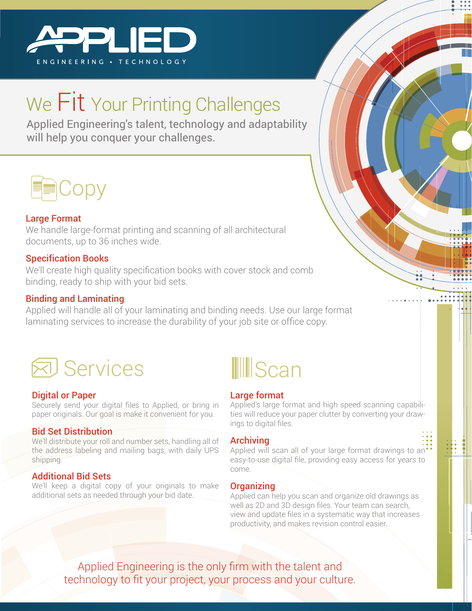

## We Fit Your Printing Challenges

Applied Engineering's talent, technology and adaptability will help you conquer your challenges.



#### Large Format

We handle large-format printing and scanning of all architectural documents, up to 36 inches wide.

#### Specification Books

We'll create high quality specification books with cover stock and comb binding, ready to ship with your bid sets.

#### Binding and Laminating

Applied will handle all of your laminating and binding needs. Use our large format laminating services to increase the durability of your job site or office copy.



#### Digital or Paper

Securely send your digital files to Applied, or bring in paper originals. Our goal is make it convenient for you.

#### Bid Set Distribution

We'll distribute your roll and number sets, handling all of the address labeling and mailing bags, with daily UPS shipping.

#### Additional Bid Sets

We'll keep a digital copy of your originals to make additional sets as needed through your bid date.



#### Large format

Applied's large format and high speed scanning capabilities will reduce your paper clutter by converting your drawings to digital files.

#### **Archiving**

Applied will scan all of your large format drawings to an' easy-to-use digital file, providing easy access for years to come.

#### **Organizing**

Applied can help you scan and organize old drawings as well as 2D and 3D design files. Your team can search, view and update files in a systematic way that increases productivity, and makes revision control easier.

Applied Engineering is the only firm with the talent and technology to fit your project, your process and your culture.